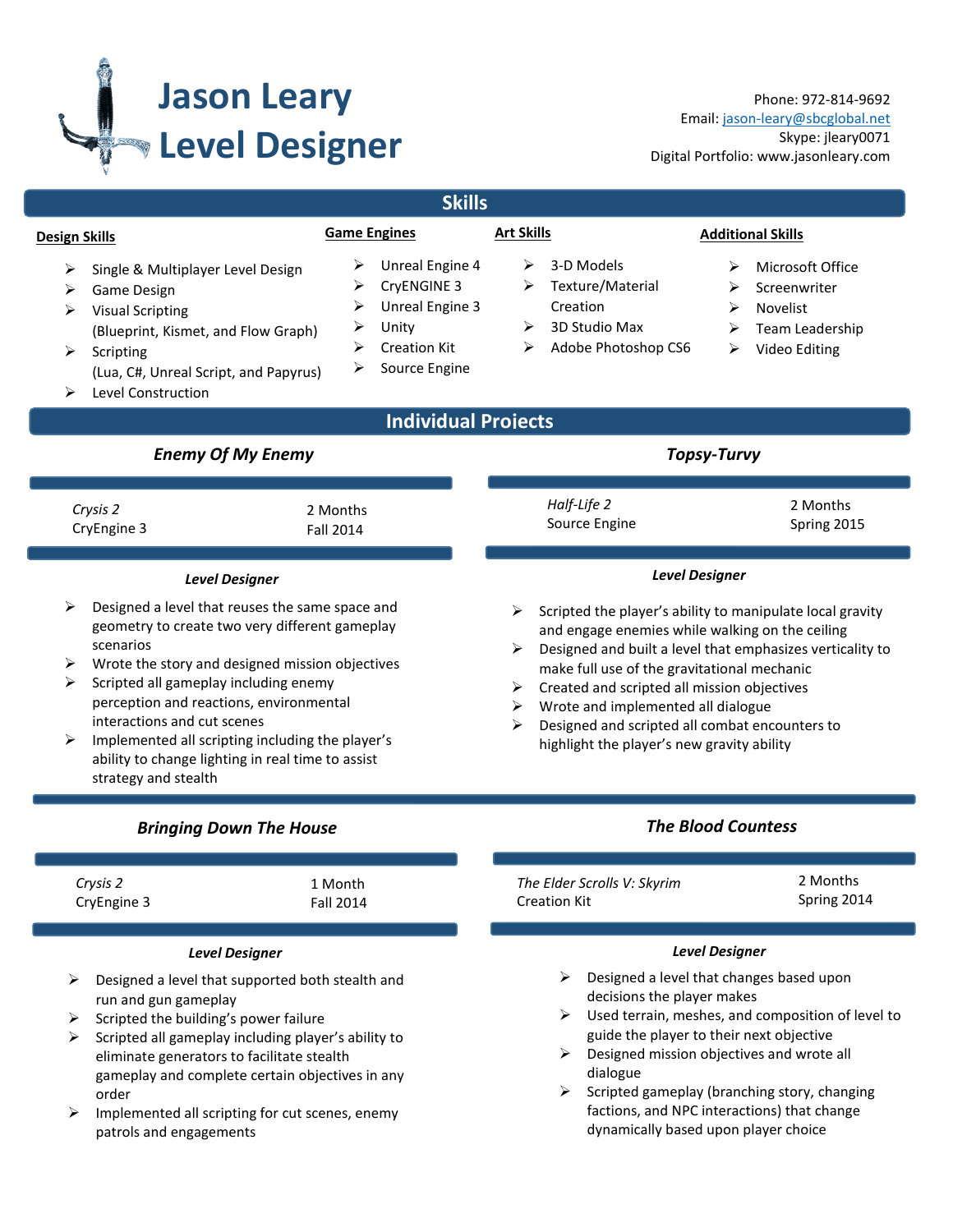

Phone: 972-814-9692 Email[: jason-leary@sbcglobal.net](mailto:jason-leary@sbcglobal.net) Skype: jleary0071 Digital Portfolio: www.jasonleary.com

| <b>Skills</b>                                                                                                                                                                                                                                                                                                                                                                                                                        |                                                                                                                                  |                                                                                                                                                                                                                                                                                                                                                                                                                                        |                                                                                                      |  |  |
|--------------------------------------------------------------------------------------------------------------------------------------------------------------------------------------------------------------------------------------------------------------------------------------------------------------------------------------------------------------------------------------------------------------------------------------|----------------------------------------------------------------------------------------------------------------------------------|----------------------------------------------------------------------------------------------------------------------------------------------------------------------------------------------------------------------------------------------------------------------------------------------------------------------------------------------------------------------------------------------------------------------------------------|------------------------------------------------------------------------------------------------------|--|--|
| <b>Design Skills</b>                                                                                                                                                                                                                                                                                                                                                                                                                 | <b>Game Engines</b>                                                                                                              | <b>Art Skills</b>                                                                                                                                                                                                                                                                                                                                                                                                                      | <b>Additional Skills</b>                                                                             |  |  |
| ⋗<br>Single & Multiplayer Level Design<br>Game Design<br>⋗<br><b>Visual Scripting</b><br>⋗<br>(Blueprint, Kismet, and Flow Graph)<br>➤<br>Scripting<br>(Lua, C#, Unreal Script, and Papyrus)<br>Level Construction                                                                                                                                                                                                                   | Unreal Engine 4<br>➤<br>CryENGINE 3<br>⋗<br>Unreal Engine 3<br>➤<br>Unity<br>➤<br><b>Creation Kit</b><br>⋗<br>Source Engine<br>⋗ | 3-D Models<br>⋗<br>Texture/Material<br>➤<br>Creation<br>3D Studio Max<br>⋗<br>Adobe Photoshop CS6<br>⋗                                                                                                                                                                                                                                                                                                                                 | Microsoft Office<br>⋗<br>Screenwriter<br>⋗<br>Novelist<br>⋗<br>Team Leadership<br>⋗<br>Video Editing |  |  |
| <b>Individual Projects</b>                                                                                                                                                                                                                                                                                                                                                                                                           |                                                                                                                                  |                                                                                                                                                                                                                                                                                                                                                                                                                                        |                                                                                                      |  |  |
| <b>Enemy Of My Enemy</b>                                                                                                                                                                                                                                                                                                                                                                                                             |                                                                                                                                  | <b>Topsy-Turvy</b>                                                                                                                                                                                                                                                                                                                                                                                                                     |                                                                                                      |  |  |
| Crysis 2<br>CryEngine 3                                                                                                                                                                                                                                                                                                                                                                                                              | 2 Months<br><b>Fall 2014</b>                                                                                                     | Half-Life 2<br>Source Engine                                                                                                                                                                                                                                                                                                                                                                                                           | 2 Months<br>Spring 2015                                                                              |  |  |
| <b>Level Designer</b>                                                                                                                                                                                                                                                                                                                                                                                                                |                                                                                                                                  | <b>Level Designer</b>                                                                                                                                                                                                                                                                                                                                                                                                                  |                                                                                                      |  |  |
| Designed a level that reuses the same space and<br>geometry to create two very different gameplay<br>scenarios<br>Wrote the story and designed mission objectives<br>➤<br>Scripted all gameplay including enemy<br>➤<br>perception and reactions, environmental<br>interactions and cut scenes<br>Implemented all scripting including the player's<br>➤<br>ability to change lighting in real time to assist<br>strategy and stealth |                                                                                                                                  | Scripted the player's ability to manipulate local gravity<br>➤<br>and engage enemies while walking on the ceiling<br>Designed and built a level that emphasizes verticality to<br>➤<br>make full use of the gravitational mechanic<br>Created and scripted all mission objectives<br>➤<br>Wrote and implemented all dialogue<br>➤<br>Designed and scripted all combat encounters to<br>⋗<br>highlight the player's new gravity ability |                                                                                                      |  |  |
| <b>Bringing Down The House</b>                                                                                                                                                                                                                                                                                                                                                                                                       |                                                                                                                                  | <b>The Blood Countess</b>                                                                                                                                                                                                                                                                                                                                                                                                              |                                                                                                      |  |  |
| Crysis 2<br>CryEngine 3                                                                                                                                                                                                                                                                                                                                                                                                              | 1 Month<br><b>Fall 2014</b>                                                                                                      | The Elder Scrolls V: Skyrim<br><b>Creation Kit</b>                                                                                                                                                                                                                                                                                                                                                                                     | 2 Months<br>Spring 2014                                                                              |  |  |
| <b>Level Designer</b>                                                                                                                                                                                                                                                                                                                                                                                                                |                                                                                                                                  |                                                                                                                                                                                                                                                                                                                                                                                                                                        | <b>Level Designer</b>                                                                                |  |  |
| Designed a level that supported both stealth and<br>run and gun gameplay<br>Scripted the building's power failure<br>➤<br>Scripted all gameplay including player's ability to<br>➤<br>eliminate generators to facilitate stealth<br>gameplay and complete certain objectives in any<br>order<br>Implemented all scripting for cut scenes, enemy<br>➤<br>patrols and engagements                                                      |                                                                                                                                  | $\triangleright$ Designed a level that changes based upon<br>decisions the player makes<br>$\triangleright$ Used terrain, meshes, and composition of level to<br>guide the player to their next objective<br>Designed mission objectives and wrote all<br>dialogue<br>$\triangleright$ Scripted gameplay (branching story, changing<br>factions, and NPC interactions) that change<br>dynamically based upon player choice             |                                                                                                      |  |  |